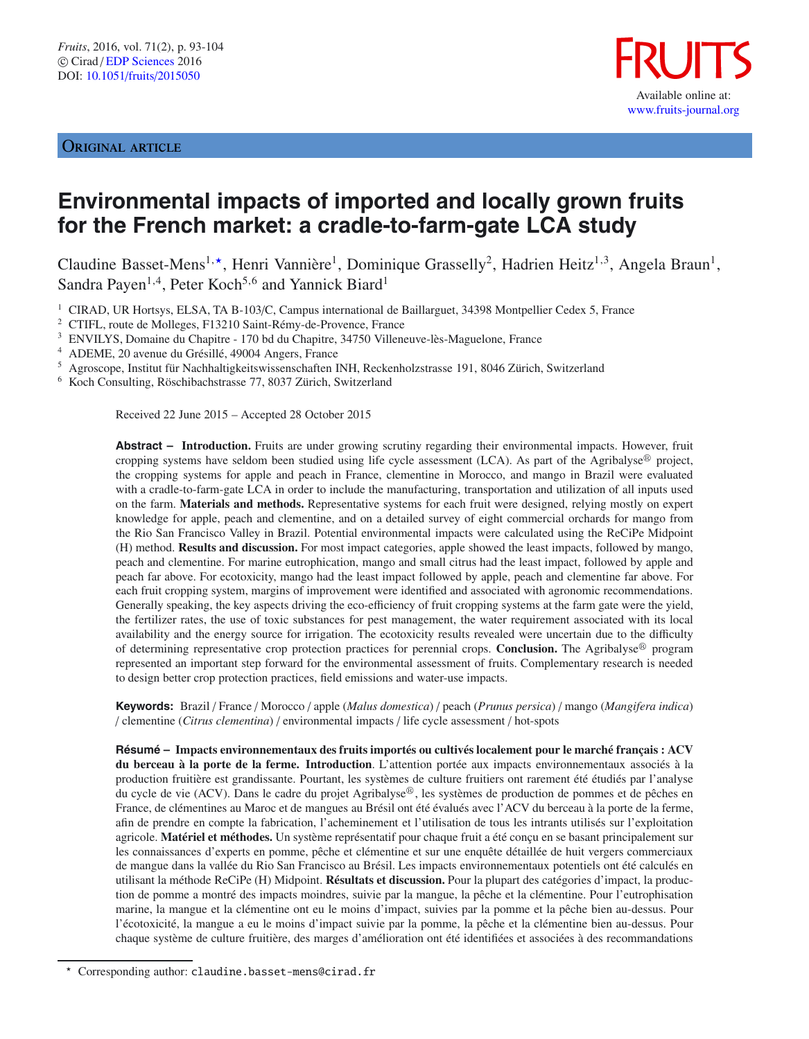ORIGINAL ARTICLE



# **Environmental impacts of imported and locally grown fruits for the French market: a cradle-to-farm-gate LCA study**

Claudine Basset-Mens<sup>1,\*</sup>, Henri Vannière<sup>1</sup>, Dominique Grasselly<sup>2</sup>, Hadrien Heitz<sup>1,3</sup>, Angela Braun<sup>1</sup>, Sandra Payen<sup>1,4</sup>, Peter Koch<sup>5,6</sup> and Yannick Biard<sup>1</sup>

<sup>1</sup> CIRAD, UR Hortsys, ELSA, TA B-103/C, Campus international de Baillarguet, 34398 Montpellier Cedex 5, France

<sup>2</sup> CTIFL, route de Molleges, F13210 Saint-Rémy-de-Provence, France

<sup>3</sup> ENVILYS, Domaine du Chapitre - 170 bd du Chapitre, 34750 Villeneuve-lès-Maguelone, France

<sup>4</sup> ADEME, 20 avenue du Grésillé, 49004 Angers, France

<sup>5</sup> Agroscope, Institut für Nachhaltigkeitswissenschaften INH, Reckenholzstrasse 191, 8046 Zürich, Switzerland

<sup>6</sup> Koch Consulting, Röschibachstrasse 77, 8037 Zürich, Switzerland

Received 22 June 2015 – Accepted 28 October 2015

**Abstract – Introduction.** Fruits are under growing scrutiny regarding their environmental impacts. However, fruit cropping systems have seldom been studied using life cycle assessment (LCA). As part of the Agribalyse $\mathfrak{G}$  project, the cropping systems for apple and peach in France, clementine in Morocco, and mango in Brazil were evaluated with a cradle-to-farm-gate LCA in order to include the manufacturing, transportation and utilization of all inputs used on the farm. **Materials and methods.** Representative systems for each fruit were designed, relying mostly on expert knowledge for apple, peach and clementine, and on a detailed survey of eight commercial orchards for mango from the Rio San Francisco Valley in Brazil. Potential environmental impacts were calculated using the ReCiPe Midpoint (H) method. **Results and discussion.** For most impact categories, apple showed the least impacts, followed by mango, peach and clementine. For marine eutrophication, mango and small citrus had the least impact, followed by apple and peach far above. For ecotoxicity, mango had the least impact followed by apple, peach and clementine far above. For each fruit cropping system, margins of improvement were identified and associated with agronomic recommendations. Generally speaking, the key aspects driving the eco-efficiency of fruit cropping systems at the farm gate were the yield, the fertilizer rates, the use of toxic substances for pest management, the water requirement associated with its local availability and the energy source for irrigation. The ecotoxicity results revealed were uncertain due to the difficulty of determining representative crop protection practices for perennial crops. **Conclusion.** The Agribalyse<sup>®</sup> program represented an important step forward for the environmental assessment of fruits. Complementary research is needed to design better crop protection practices, field emissions and water-use impacts.

**Keywords:** Brazil / France / Morocco / apple (*Malus domestica*) / peach (*Prunus persica*) / mango (*Mangifera indica*) / clementine (*Citrus clementina*) / environmental impacts / life cycle assessment / hot-spots

**Résumé – Impacts environnementaux des fruits importés ou cultivés localement pour le marché français : ACV du berceau à la porte de la ferme. Introduction**. L'attention portée aux impacts environnementaux associés à la production fruitière est grandissante. Pourtant, les systèmes de culture fruitiers ont rarement été étudiés par l'analyse du cycle de vie (ACV). Dans le cadre du projet Agribalyse<sup>®</sup>, les systèmes de production de pommes et de pêches en France, de clémentines au Maroc et de mangues au Brésil ont été évalués avec l'ACV du berceau à la porte de la ferme, afin de prendre en compte la fabrication, l'acheminement et l'utilisation de tous les intrants utilisés sur l'exploitation agricole. **Matériel et méthodes.** Un système représentatif pour chaque fruit a été conçu en se basant principalement sur les connaissances d'experts en pomme, pêche et clémentine et sur une enquête détaillée de huit vergers commerciaux de mangue dans la vallée du Rio San Francisco au Brésil. Les impacts environnementaux potentiels ont été calculés en utilisant la méthode ReCiPe (H) Midpoint. **Résultats et discussion.** Pour la plupart des catégories d'impact, la production de pomme a montré des impacts moindres, suivie par la mangue, la pêche et la clémentine. Pour l'eutrophisation marine, la mangue et la clémentine ont eu le moins d'impact, suivies par la pomme et la pêche bien au-dessus. Pour l'écotoxicité, la mangue a eu le moins d'impact suivie par la pomme, la pêche et la clémentine bien au-dessus. Pour chaque système de culture fruitière, des marges d'amélioration ont été identifiées et associées à des recommandations

 $\star$ Corresponding author: claudine.basset-mens@cirad.fr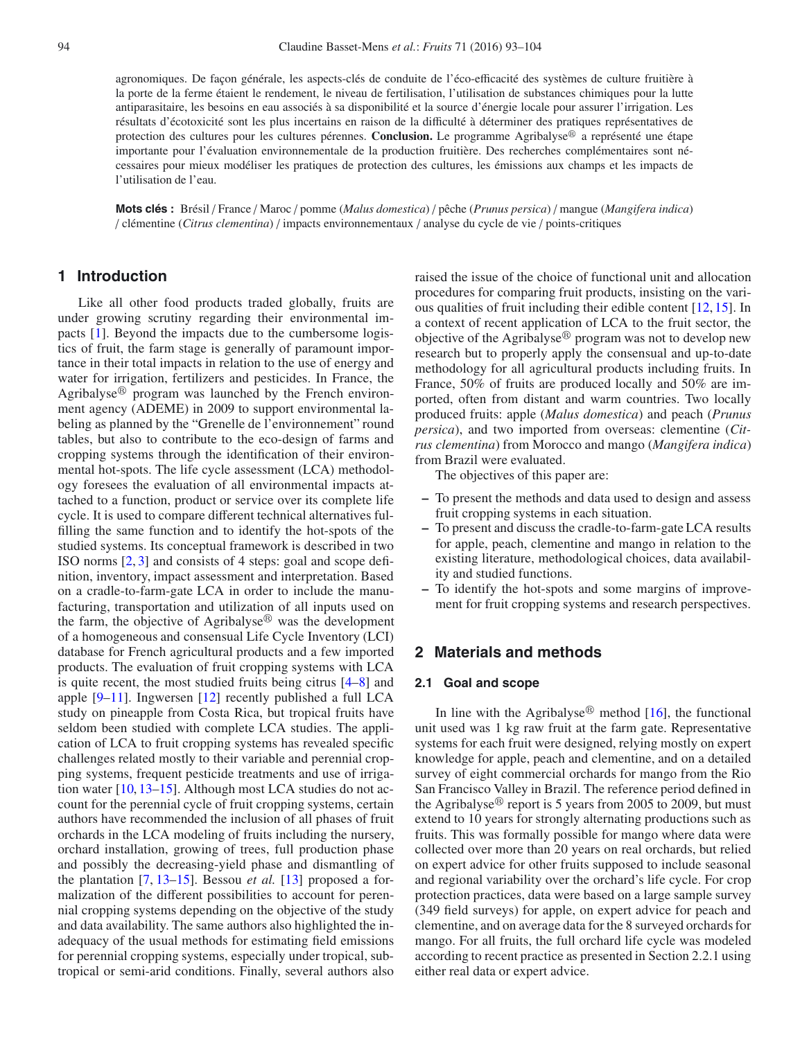agronomiques. De façon générale, les aspects-clés de conduite de l'éco-efficacité des systèmes de culture fruitière à la porte de la ferme étaient le rendement, le niveau de fertilisation, l'utilisation de substances chimiques pour la lutte antiparasitaire, les besoins en eau associés à sa disponibilité et la source d'énergie locale pour assurer l'irrigation. Les résultats d'écotoxicité sont les plus incertains en raison de la difficulté à déterminer des pratiques représentatives de protection des cultures pour les cultures pérennes. Conclusion. Le programme Agribalyse<sup>®</sup> a représenté une étape importante pour l'évaluation environnementale de la production fruitière. Des recherches complémentaires sont nécessaires pour mieux modéliser les pratiques de protection des cultures, les émissions aux champs et les impacts de l'utilisation de l'eau.

**Mots clés :** Brésil / France / Maroc / pomme (*Malus domestica*) / pêche (*Prunus persica*) / mangue (*Mangifera indica*) / clémentine (*Citrus clementina*) / impacts environnementaux / analyse du cycle de vie / points-critiques

# **1 Introduction**

Like all other food products traded globally, fruits are under growing scrutiny regarding their environmental impacts [\[1\]](#page-10-0). Beyond the impacts due to the cumbersome logistics of fruit, the farm stage is generally of paramount importance in their total impacts in relation to the use of energy and water for irrigation, fertilizers and pesticides. In France, the Agribalyse<sup>®</sup> program was launched by the French environment agency (ADEME) in 2009 to support environmental labeling as planned by the "Grenelle de l'environnement" round tables, but also to contribute to the eco-design of farms and cropping systems through the identification of their environmental hot-spots. The life cycle assessment (LCA) methodology foresees the evaluation of all environmental impacts attached to a function, product or service over its complete life cycle. It is used to compare different technical alternatives fulfilling the same function and to identify the hot-spots of the studied systems. Its conceptual framework is described in two ISO norms [\[2,](#page-10-1) [3\]](#page-10-2) and consists of 4 steps: goal and scope definition, inventory, impact assessment and interpretation. Based on a cradle-to-farm-gate LCA in order to include the manufacturing, transportation and utilization of all inputs used on the farm, the objective of Agribalyse $\mathbb{B}$  was the development of a homogeneous and consensual Life Cycle Inventory (LCI) database for French agricultural products and a few imported products. The evaluation of fruit cropping systems with LCA is quite recent, the most studied fruits being citrus [\[4](#page-10-3)[–8\]](#page-11-0) and apple [\[9](#page-11-1)[–11](#page-11-2)]. Ingwersen [\[12](#page-11-3)] recently published a full LCA study on pineapple from Costa Rica, but tropical fruits have seldom been studied with complete LCA studies. The application of LCA to fruit cropping systems has revealed specific challenges related mostly to their variable and perennial cropping systems, frequent pesticide treatments and use of irrigation water [\[10,](#page-11-4) [13](#page-11-5)[–15](#page-11-6)]. Although most LCA studies do not account for the perennial cycle of fruit cropping systems, certain authors have recommended the inclusion of all phases of fruit orchards in the LCA modeling of fruits including the nursery, orchard installation, growing of trees, full production phase and possibly the decreasing-yield phase and dismantling of the plantation [\[7](#page-10-4), [13](#page-11-5)[–15\]](#page-11-6). Bessou *et al.* [\[13\]](#page-11-5) proposed a formalization of the different possibilities to account for perennial cropping systems depending on the objective of the study and data availability. The same authors also highlighted the inadequacy of the usual methods for estimating field emissions for perennial cropping systems, especially under tropical, subtropical or semi-arid conditions. Finally, several authors also raised the issue of the choice of functional unit and allocation procedures for comparing fruit products, insisting on the various qualities of fruit including their edible content [\[12](#page-11-3), [15](#page-11-6)]. In a context of recent application of LCA to the fruit sector, the objective of the Agribalyse $\mathcal{B}$  program was not to develop new research but to properly apply the consensual and up-to-date methodology for all agricultural products including fruits. In France, 50% of fruits are produced locally and 50% are imported, often from distant and warm countries. Two locally produced fruits: apple (*Malus domestica*) and peach (*Prunus persica*), and two imported from overseas: clementine (*Citrus clementina*) from Morocco and mango (*Mangifera indica*) from Brazil were evaluated.

The objectives of this paper are:

- **–** To present the methods and data used to design and assess fruit cropping systems in each situation.
- **–** To present and discuss the cradle-to-farm-gate LCA results for apple, peach, clementine and mango in relation to the existing literature, methodological choices, data availability and studied functions.
- **–** To identify the hot-spots and some margins of improvement for fruit cropping systems and research perspectives.

# **2 Materials and methods**

# **2.1 Goal and scope**

In line with the Agribalyse<sup>®</sup> method [\[16\]](#page-11-7), the functional unit used was 1 kg raw fruit at the farm gate. Representative systems for each fruit were designed, relying mostly on expert knowledge for apple, peach and clementine, and on a detailed survey of eight commercial orchards for mango from the Rio San Francisco Valley in Brazil. The reference period defined in the Agribalyse<sup>®</sup> report is 5 years from 2005 to 2009, but must extend to 10 years for strongly alternating productions such as fruits. This was formally possible for mango where data were collected over more than 20 years on real orchards, but relied on expert advice for other fruits supposed to include seasonal and regional variability over the orchard's life cycle. For crop protection practices, data were based on a large sample survey (349 field surveys) for apple, on expert advice for peach and clementine, and on average data for the 8 surveyed orchards for mango. For all fruits, the full orchard life cycle was modeled according to recent practice as presented in Section 2.2.1 using either real data or expert advice.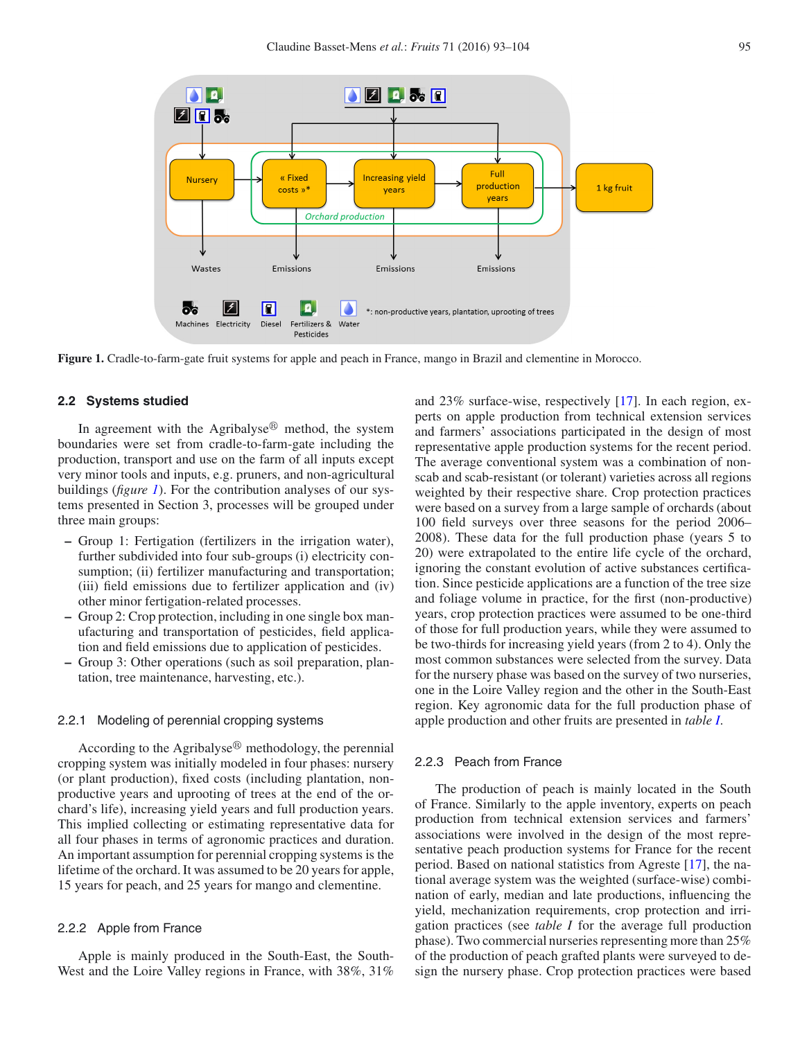<span id="page-2-0"></span>

**Figure 1.** Cradle-to-farm-gate fruit systems for apple and peach in France, mango in Brazil and clementine in Morocco.

## **2.2 Systems studied**

In agreement with the Agribalyse $\mathbb{B}$  method, the system boundaries were set from cradle-to-farm-gate including the production, transport and use on the farm of all inputs except very minor tools and inputs, e.g. pruners, and non-agricultural buildings (*figure [1](#page-2-0)*). For the contribution analyses of our systems presented in Section 3, processes will be grouped under three main groups:

- **–** Group 1: Fertigation (fertilizers in the irrigation water), further subdivided into four sub-groups (i) electricity consumption; (ii) fertilizer manufacturing and transportation; (iii) field emissions due to fertilizer application and (iv) other minor fertigation-related processes.
- **–** Group 2: Crop protection, including in one single box manufacturing and transportation of pesticides, field application and field emissions due to application of pesticides.
- **–** Group 3: Other operations (such as soil preparation, plantation, tree maintenance, harvesting, etc.).

# 2.2.1 Modeling of perennial cropping systems

According to the Agribalyse $\mathbb{B}$  methodology, the perennial cropping system was initially modeled in four phases: nursery (or plant production), fixed costs (including plantation, nonproductive years and uprooting of trees at the end of the orchard's life), increasing yield years and full production years. This implied collecting or estimating representative data for all four phases in terms of agronomic practices and duration. An important assumption for perennial cropping systems is the lifetime of the orchard. It was assumed to be 20 years for apple, 15 years for peach, and 25 years for mango and clementine.

# 2.2.2 Apple from France

Apple is mainly produced in the South-East, the South-West and the Loire Valley regions in France, with 38%, 31% and 23% surface-wise, respectively [\[17](#page-11-8)]. In each region, experts on apple production from technical extension services and farmers' associations participated in the design of most representative apple production systems for the recent period. The average conventional system was a combination of nonscab and scab-resistant (or tolerant) varieties across all regions weighted by their respective share. Crop protection practices were based on a survey from a large sample of orchards (about 100 field surveys over three seasons for the period 2006– 2008). These data for the full production phase (years 5 to 20) were extrapolated to the entire life cycle of the orchard, ignoring the constant evolution of active substances certification. Since pesticide applications are a function of the tree size and foliage volume in practice, for the first (non-productive) years, crop protection practices were assumed to be one-third of those for full production years, while they were assumed to be two-thirds for increasing yield years (from 2 to 4). Only the most common substances were selected from the survey. Data for the nursery phase was based on the survey of two nurseries, one in the Loire Valley region and the other in the South-East region. Key agronomic data for the full production phase of apple production and other fruits are presented in *table [I](#page-3-0)*.

# 2.2.3 Peach from France

The production of peach is mainly located in the South of France. Similarly to the apple inventory, experts on peach production from technical extension services and farmers' associations were involved in the design of the most representative peach production systems for France for the recent period. Based on national statistics from Agreste [\[17\]](#page-11-8), the national average system was the weighted (surface-wise) combination of early, median and late productions, influencing the yield, mechanization requirements, crop protection and irrigation practices (see *table I* for the average full production phase). Two commercial nurseries representing more than 25% of the production of peach grafted plants were surveyed to design the nursery phase. Crop protection practices were based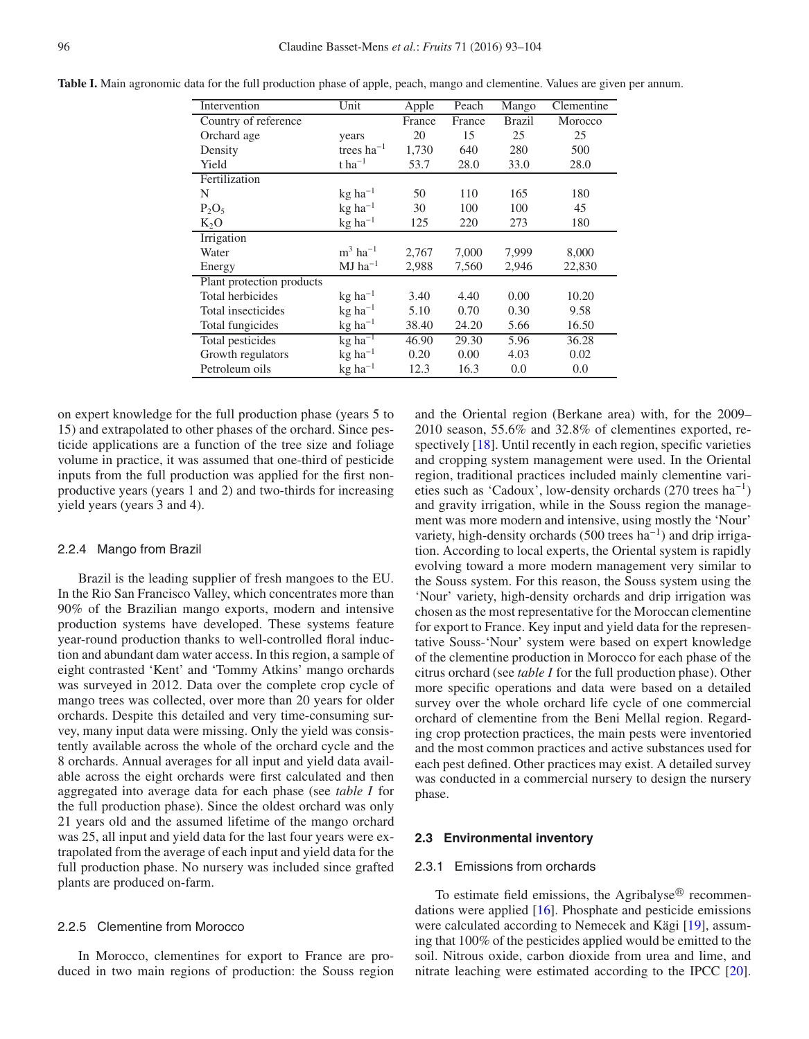| Intervention              | Unit                  | Apple  | Peach  | Mango         | Clementine |
|---------------------------|-----------------------|--------|--------|---------------|------------|
| Country of reference      |                       | France | France | <b>Brazil</b> | Morocco    |
| Orchard age               | years                 | 20     | 15     | 25            | 25         |
| Density                   | trees $ha^{-1}$       | 1,730  | 640    | 280           | 500        |
| Yield                     | $t$ ha <sup>-1</sup>  | 53.7   | 28.0   | 33.0          | 28.0       |
| Fertilization             |                       |        |        |               |            |
| N                         | $kg$ ha <sup>-1</sup> | 50     | 110    | 165           | 180        |
| $P_2O_5$                  | $kg$ ha <sup>-1</sup> | 30     | 100    | 100           | 45         |
| $K_2O$                    | $kg$ ha <sup>-1</sup> | 125    | 220    | 273           | 180        |
| Irrigation                |                       |        |        |               |            |
| Water                     | $m3$ ha <sup>-1</sup> | 2,767  | 7,000  | 7,999         | 8,000      |
| Energy                    | $MJ$ ha <sup>-1</sup> | 2,988  | 7,560  | 2,946         | 22,830     |
| Plant protection products |                       |        |        |               |            |
| Total herbicides          | $kg$ ha <sup>-1</sup> | 3.40   | 4.40   | 0.00          | 10.20      |
| Total insecticides        | $kg$ ha <sup>-1</sup> | 5.10   | 0.70   | 0.30          | 9.58       |
| Total fungicides          | $kg$ ha <sup>-1</sup> | 38.40  | 24.20  | 5.66          | 16.50      |
| Total pesticides          | $kg$ ha <sup>-1</sup> | 46.90  | 29.30  | 5.96          | 36.28      |
| Growth regulators         | $kg$ ha <sup>-1</sup> | 0.20   | 0.00   | 4.03          | 0.02       |
| Petroleum oils            | $kg$ ha <sup>-1</sup> | 12.3   | 16.3   | 0.0           | 0.0        |

<span id="page-3-0"></span>**Table I.** Main agronomic data for the full production phase of apple, peach, mango and clementine. Values are given per annum.

on expert knowledge for the full production phase (years 5 to 15) and extrapolated to other phases of the orchard. Since pesticide applications are a function of the tree size and foliage volume in practice, it was assumed that one-third of pesticide inputs from the full production was applied for the first nonproductive years (years 1 and 2) and two-thirds for increasing yield years (years 3 and 4).

#### 2.2.4 Mango from Brazil

Brazil is the leading supplier of fresh mangoes to the EU. In the Rio San Francisco Valley, which concentrates more than 90% of the Brazilian mango exports, modern and intensive production systems have developed. These systems feature year-round production thanks to well-controlled floral induction and abundant dam water access. In this region, a sample of eight contrasted 'Kent' and 'Tommy Atkins' mango orchards was surveyed in 2012. Data over the complete crop cycle of mango trees was collected, over more than 20 years for older orchards. Despite this detailed and very time-consuming survey, many input data were missing. Only the yield was consistently available across the whole of the orchard cycle and the 8 orchards. Annual averages for all input and yield data available across the eight orchards were first calculated and then aggregated into average data for each phase (see *table I* for the full production phase). Since the oldest orchard was only 21 years old and the assumed lifetime of the mango orchard was 25, all input and yield data for the last four years were extrapolated from the average of each input and yield data for the full production phase. No nursery was included since grafted plants are produced on-farm.

#### 2.2.5 Clementine from Morocco

In Morocco, clementines for export to France are produced in two main regions of production: the Souss region and the Oriental region (Berkane area) with, for the 2009– 2010 season, 55.6% and 32.8% of clementines exported, re-spectively [\[18](#page-11-9)]. Until recently in each region, specific varieties and cropping system management were used. In the Oriental region, traditional practices included mainly clementine varieties such as 'Cadoux', low-density orchards  $(270 \text{ trees ha}^{-1})$ and gravity irrigation, while in the Souss region the management was more modern and intensive, using mostly the 'Nour' variety, high-density orchards (500 trees ha<sup>-1</sup>) and drip irrigation. According to local experts, the Oriental system is rapidly evolving toward a more modern management very similar to the Souss system. For this reason, the Souss system using the 'Nour' variety, high-density orchards and drip irrigation was chosen as the most representative for the Moroccan clementine for export to France. Key input and yield data for the representative Souss-'Nour' system were based on expert knowledge of the clementine production in Morocco for each phase of the citrus orchard (see *table I* for the full production phase). Other more specific operations and data were based on a detailed survey over the whole orchard life cycle of one commercial orchard of clementine from the Beni Mellal region. Regarding crop protection practices, the main pests were inventoried and the most common practices and active substances used for each pest defined. Other practices may exist. A detailed survey was conducted in a commercial nursery to design the nursery phase.

#### **2.3 Environmental inventory**

#### 2.3.1 Emissions from orchards

To estimate field emissions, the Agribalyse $\mathcal{B}$  recommendations were applied [\[16](#page-11-7)]. Phosphate and pesticide emissions were calculated according to Nemecek and Kägi [\[19](#page-11-10)], assuming that 100% of the pesticides applied would be emitted to the soil. Nitrous oxide, carbon dioxide from urea and lime, and nitrate leaching were estimated according to the IPCC [\[20](#page-11-11)].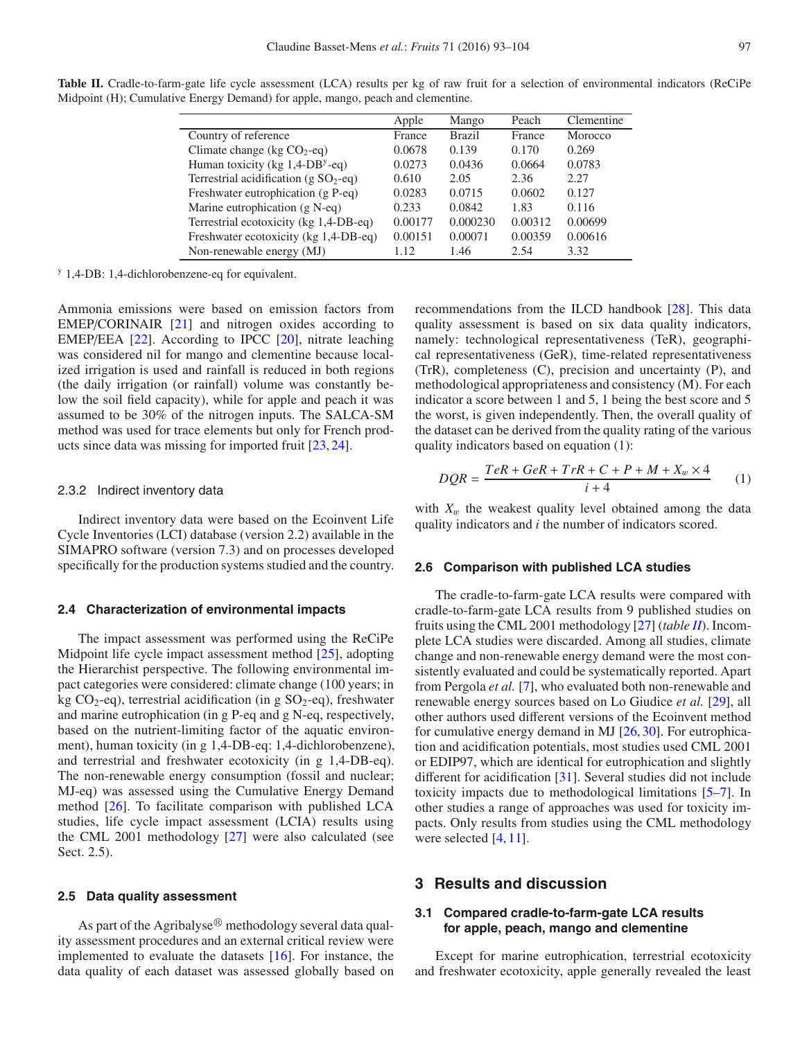<span id="page-4-0"></span>**Table II.** Cradle-to-farm-gate life cycle assessment (LCA) results per kg of raw fruit for a selection of environmental indicators (ReCiPe Midpoint (H); Cumulative Energy Demand) for apple, mango, peach and clementine.

|                                                | Apple   | Mango         | Peach   | Clementine |
|------------------------------------------------|---------|---------------|---------|------------|
| Country of reference                           | France  | <b>Brazil</b> | France  | Morocco    |
| Climate change (kg $CO_2$ -eq)                 | 0.0678  | 0.139         | 0.170   | 0.269      |
| Human toxicity (kg $1,4$ -DB <sup>y</sup> -eq) | 0.0273  | 0.0436        | 0.0664  | 0.0783     |
| Terrestrial acidification (g $SO_2$ -eq)       | 0.610   | 2.05          | 2.36    | 2.27       |
| Freshwater eutrophication (g P-eq)             | 0.0283  | 0.0715        | 0.0602  | 0.127      |
| Marine eutrophication (g N-eq)                 | 0.233   | 0.0842        | 1.83    | 0.116      |
| Terrestrial ecotoxicity (kg 1,4-DB-eq)         | 0.00177 | 0.000230      | 0.00312 | 0.00699    |
| Freshwater ecotoxicity (kg 1,4-DB-eq)          | 0.00151 | 0.00071       | 0.00359 | 0.00616    |
| Non-renewable energy (MJ)                      | 1.12    | 1.46          | 2.54    | 3.32       |

<sup>y</sup> 1,4-DB: 1,4-dichlorobenzene-eq for equivalent.

Ammonia emissions were based on emission factors from EMEP/CORINAIR [\[21\]](#page-11-12) and nitrogen oxides according to EMEP/EEA [\[22\]](#page-11-13). According to IPCC [\[20\]](#page-11-11), nitrate leaching was considered nil for mango and clementine because localized irrigation is used and rainfall is reduced in both regions (the daily irrigation (or rainfall) volume was constantly below the soil field capacity), while for apple and peach it was assumed to be 30% of the nitrogen inputs. The SALCA-SM method was used for trace elements but only for French products since data was missing for imported fruit [\[23](#page-11-14), [24\]](#page-11-15).

#### 2.3.2 Indirect inventory data

Indirect inventory data were based on the Ecoinvent Life Cycle Inventories (LCI) database (version 2.2) available in the SIMAPRO software (version 7.3) and on processes developed specifically for the production systems studied and the country.

# **2.4 Characterization of environmental impacts**

The impact assessment was performed using the ReCiPe Midpoint life cycle impact assessment method [\[25](#page-11-16)], adopting the Hierarchist perspective. The following environmental impact categories were considered: climate change (100 years; in kg CO<sub>2</sub>-eq), terrestrial acidification (in g SO<sub>2</sub>-eq), freshwater and marine eutrophication (in g P-eq and g N-eq, respectively, based on the nutrient-limiting factor of the aquatic environment), human toxicity (in g 1,4-DB-eq: 1,4-dichlorobenzene), and terrestrial and freshwater ecotoxicity (in g 1,4-DB-eq). The non-renewable energy consumption (fossil and nuclear; MJ-eq) was assessed using the Cumulative Energy Demand method [\[26](#page-11-17)]. To facilitate comparison with published LCA studies, life cycle impact assessment (LCIA) results using the CML 2001 methodology [\[27\]](#page-11-18) were also calculated (see Sect. 2.5).

#### **2.5 Data quality assessment**

As part of the Agribalyse $^{\circledR}$  methodology several data quality assessment procedures and an external critical review were implemented to evaluate the datasets [\[16\]](#page-11-7). For instance, the data quality of each dataset was assessed globally based on recommendations from the ILCD handbook [\[28\]](#page-11-19). This data quality assessment is based on six data quality indicators, namely: technological representativeness (TeR), geographical representativeness (GeR), time-related representativeness (TrR), completeness (C), precision and uncertainty (P), and methodological appropriateness and consistency (M). For each indicator a score between 1 and 5, 1 being the best score and 5 the worst, is given independently. Then, the overall quality of the dataset can be derived from the quality rating of the various quality indicators based on equation (1):

$$
DQR = \frac{TeR + GeR + TrR + C + P + M + X_w \times 4}{i + 4} \tag{1}
$$

with  $X_w$  the weakest quality level obtained among the data quality indicators and *i* the number of indicators scored.

#### **2.6 Comparison with published LCA studies**

The cradle-to-farm-gate LCA results were compared with cradle-to-farm-gate LCA results from 9 published studies on fruits using the CML 2001 methodology [\[27](#page-11-18)] (*table [II](#page-4-0)*). Incomplete LCA studies were discarded. Among all studies, climate change and non-renewable energy demand were the most consistently evaluated and could be systematically reported. Apart from Pergola *et al.* [\[7\]](#page-10-4), who evaluated both non-renewable and renewable energy sources based on Lo Giudice *et al.* [\[29](#page-11-20)], all other authors used different versions of the Ecoinvent method for cumulative energy demand in MJ [\[26,](#page-11-17) [30\]](#page-11-21). For eutrophication and acidification potentials, most studies used CML 2001 or EDIP97, which are identical for eutrophication and slightly different for acidification [\[31\]](#page-11-22). Several studies did not include toxicity impacts due to methodological limitations [\[5](#page-10-5)[–7\]](#page-10-4). In other studies a range of approaches was used for toxicity impacts. Only results from studies using the CML methodology were selected [\[4](#page-10-3), [11\]](#page-11-2).

# **3 Results and discussion**

# **3.1 Compared cradle-to-farm-gate LCA results for apple, peach, mango and clementine**

Except for marine eutrophication, terrestrial ecotoxicity and freshwater ecotoxicity, apple generally revealed the least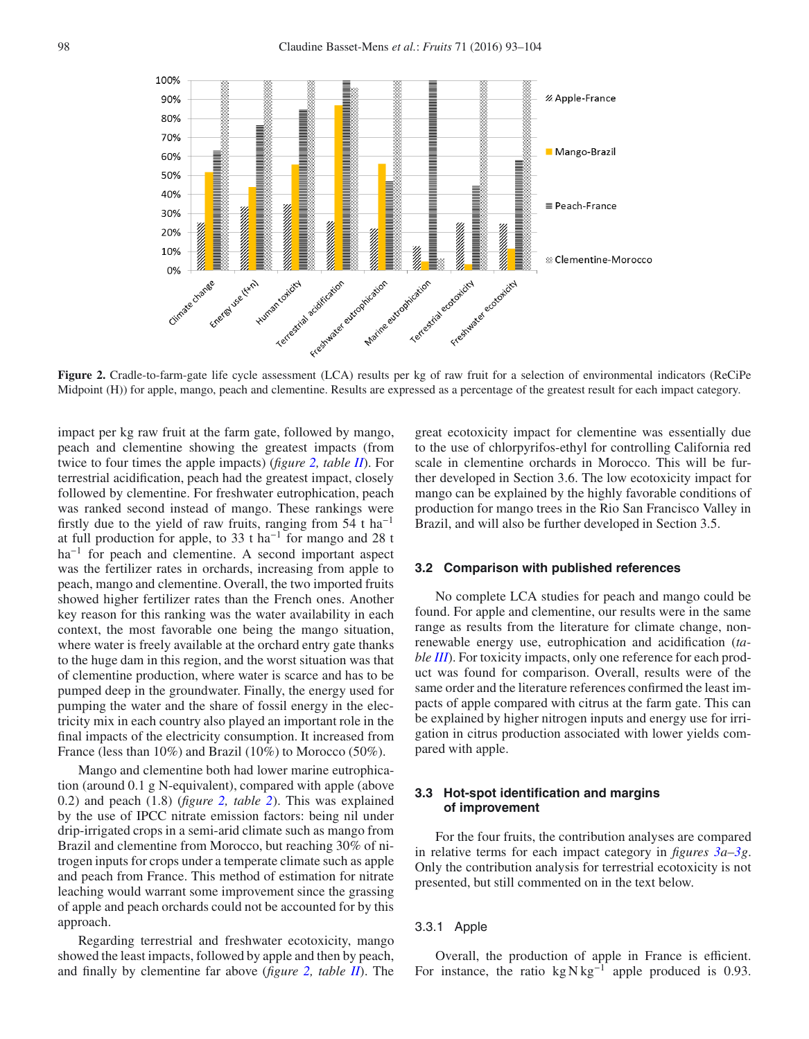<span id="page-5-0"></span>

**Figure 2.** Cradle-to-farm-gate life cycle assessment (LCA) results per kg of raw fruit for a selection of environmental indicators (ReCiPe Midpoint (H)) for apple, mango, peach and clementine. Results are expressed as a percentage of the greatest result for each impact category.

impact per kg raw fruit at the farm gate, followed by mango, peach and clementine showing the greatest impacts (from twice to four times the apple impacts) (*figure [2,](#page-5-0) table [II](#page-4-0)*). For terrestrial acidification, peach had the greatest impact, closely followed by clementine. For freshwater eutrophication, peach was ranked second instead of mango. These rankings were firstly due to the yield of raw fruits, ranging from  $54$  t ha<sup>-1</sup> at full production for apple, to 33 t ha<sup>-1</sup> for mango and 28 t ha<sup>-1</sup> for peach and clementine. A second important aspect was the fertilizer rates in orchards, increasing from apple to peach, mango and clementine. Overall, the two imported fruits showed higher fertilizer rates than the French ones. Another key reason for this ranking was the water availability in each context, the most favorable one being the mango situation, where water is freely available at the orchard entry gate thanks to the huge dam in this region, and the worst situation was that of clementine production, where water is scarce and has to be pumped deep in the groundwater. Finally, the energy used for pumping the water and the share of fossil energy in the electricity mix in each country also played an important role in the final impacts of the electricity consumption. It increased from France (less than 10%) and Brazil (10%) to Morocco (50%).

Mango and clementine both had lower marine eutrophication (around 0.1 g N-equivalent), compared with apple (above 0.2) and peach (1.8) (*figure [2,](#page-5-0) table [2](#page-5-0)*). This was explained by the use of IPCC nitrate emission factors: being nil under drip-irrigated crops in a semi-arid climate such as mango from Brazil and clementine from Morocco, but reaching 30% of nitrogen inputs for crops under a temperate climate such as apple and peach from France. This method of estimation for nitrate leaching would warrant some improvement since the grassing of apple and peach orchards could not be accounted for by this approach.

Regarding terrestrial and freshwater ecotoxicity, mango showed the least impacts, followed by apple and then by peach, and finally by clementine far above (*figure [2,](#page-5-0) table [II](#page-4-0)*). The great ecotoxicity impact for clementine was essentially due to the use of chlorpyrifos-ethyl for controlling California red scale in clementine orchards in Morocco. This will be further developed in Section 3.6. The low ecotoxicity impact for mango can be explained by the highly favorable conditions of production for mango trees in the Rio San Francisco Valley in Brazil, and will also be further developed in Section 3.5.

#### **3.2 Comparison with published references**

No complete LCA studies for peach and mango could be found. For apple and clementine, our results were in the same range as results from the literature for climate change, nonrenewable energy use, eutrophication and acidification (*table [III](#page-6-0)*). For toxicity impacts, only one reference for each product was found for comparison. Overall, results were of the same order and the literature references confirmed the least impacts of apple compared with citrus at the farm gate. This can be explained by higher nitrogen inputs and energy use for irrigation in citrus production associated with lower yields compared with apple.

# **3.3 Hot-spot identification and margins of improvement**

For the four fruits, the contribution analyses are compared in relative terms for each impact category in *figures [3a–3g](#page-7-0)*. Only the contribution analysis for terrestrial ecotoxicity is not presented, but still commented on in the text below.

# 3.3.1 Apple

Overall, the production of apple in France is efficient. For instance, the ratio kg N kg<sup>-1</sup> apple produced is 0.93.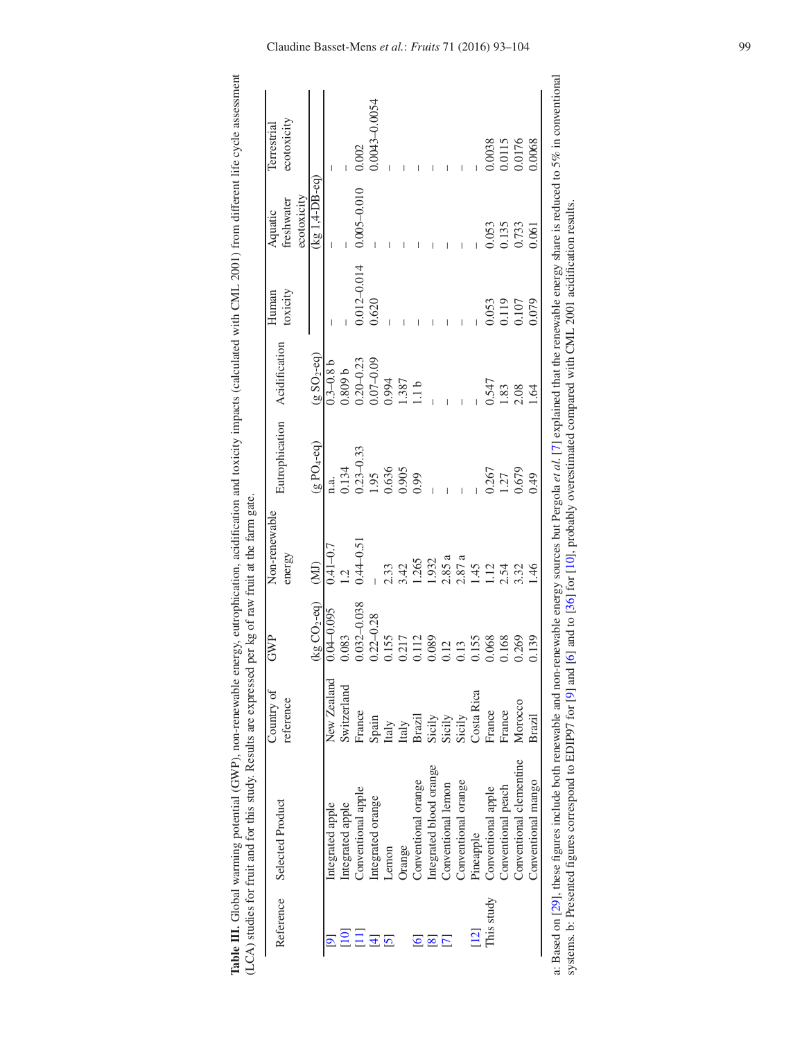|                 | LCA) studies for fruit and for this study. Results are expressed per kg of raw fruit at the farm gate.<br>Table III. Global warming potential (GWP), non-renewable |                         |                               |                         |                              |               |                  |                       | energy, europhication, acidification and toxicity impacts (calculated with CML 2001) from different life cycle assessment |
|-----------------|--------------------------------------------------------------------------------------------------------------------------------------------------------------------|-------------------------|-------------------------------|-------------------------|------------------------------|---------------|------------------|-----------------------|---------------------------------------------------------------------------------------------------------------------------|
|                 | Reference Selected Product                                                                                                                                         | Country of<br>reference | SNP                           | Non-renewable<br>energy | Eutrophication Acidification |               | Human<br>oxicity | ireshwater<br>Aquatic | ecotoxicity<br>Terrestrial                                                                                                |
|                 |                                                                                                                                                                    |                         |                               |                         |                              |               |                  | ecotoxicity           |                                                                                                                           |
|                 |                                                                                                                                                                    |                         | $(kg CO2-eq)$ (MJ)            |                         | $(g\,PO_4\text{-}eq)$        | $(gSO2-eq)$   |                  | $(kg1,4-DB-eq)$       |                                                                                                                           |
|                 | Integrated apple                                                                                                                                                   | New Zealand             | $7.0 - 0.095$ 0.00.0 $-10.7$  |                         |                              | $0.3 - 0.8$ b |                  |                       |                                                                                                                           |
| $\overline{10}$ | integrated apple                                                                                                                                                   | witzerland              | 0.083                         | 1.2                     | 0.134                        | 1,809b        |                  |                       |                                                                                                                           |
| $\Xi$           | Conventional apple                                                                                                                                                 | France                  | $0.032 - 0.038$ $0.44 - 0.51$ |                         | $0.23 - 0.33$                | $0.20 - 0.23$ | $0.012 - 0.014$  | $0.005 - 0.010$       | 0.002                                                                                                                     |
|                 | Integrated orange                                                                                                                                                  | Spain                   | $0.22 - 0.28$                 |                         | 0.95                         | $0.07 - 0.09$ | 0.620            |                       | 0.0043-0.0054                                                                                                             |

<span id="page-6-0"></span>

|            |                         |                                          |                                                                                                                                                                                                                                                                                                               |                                                                                                                                                                                             |                                                                                                                                                                |                                                | $\sim$ $\sim$                                             |                                                                                                               |
|------------|-------------------------|------------------------------------------|---------------------------------------------------------------------------------------------------------------------------------------------------------------------------------------------------------------------------------------------------------------------------------------------------------------|---------------------------------------------------------------------------------------------------------------------------------------------------------------------------------------------|----------------------------------------------------------------------------------------------------------------------------------------------------------------|------------------------------------------------|-----------------------------------------------------------|---------------------------------------------------------------------------------------------------------------|
|            | Integrated apple        | New Zealand                              |                                                                                                                                                                                                                                                                                                               |                                                                                                                                                                                             |                                                                                                                                                                |                                                |                                                           |                                                                                                               |
|            | Integrated apple        | Switzerlan                               |                                                                                                                                                                                                                                                                                                               |                                                                                                                                                                                             |                                                                                                                                                                |                                                |                                                           |                                                                                                               |
| $\Xi\Xi$   | Conventional apple      | France                                   |                                                                                                                                                                                                                                                                                                               |                                                                                                                                                                                             |                                                                                                                                                                |                                                | $0.005 - 0.010$                                           |                                                                                                               |
|            | Integrated orange       |                                          |                                                                                                                                                                                                                                                                                                               | $\begin{array}{r} \n 1.34 \\  0.134 \\  0.95 \\  0.95 \\  0.636 \\  0.95 \\  0.039 \\  0.039 \\  0.039 \\  0.039 \\  0.039 \\  0.039 \\  0.039 \\  0.039 \\  0.039 \\  0.039\n \end{array}$ | $0.3-0.8$<br>$0.3-0.8$<br>$0.809$<br>$0.809$<br>$0.30-0.23$<br>$0.3587$<br>$0.387$<br>$0.547$<br>$0.547$<br>$0.547$<br>$0.547$<br>$0.547$<br>$0.547$<br>$0.54$ | $\frac{0.012 - 0.014}{0.620}$                  |                                                           | –<br>0.002<br>0.0043–0.0054                                                                                   |
|            | Lemon                   | Spain<br>Italy<br>Italy<br>Brazil        |                                                                                                                                                                                                                                                                                                               |                                                                                                                                                                                             |                                                                                                                                                                |                                                |                                                           |                                                                                                               |
|            | Jrange                  |                                          |                                                                                                                                                                                                                                                                                                               |                                                                                                                                                                                             |                                                                                                                                                                |                                                |                                                           |                                                                                                               |
|            | Conventional orange     |                                          |                                                                                                                                                                                                                                                                                                               |                                                                                                                                                                                             |                                                                                                                                                                |                                                |                                                           |                                                                                                               |
|            | Integrated blood orange | Sicily<br>Sicily<br>Sicily<br>Costa Rica |                                                                                                                                                                                                                                                                                                               |                                                                                                                                                                                             |                                                                                                                                                                |                                                |                                                           | $\begin{array}{r} 1 \ 1 \ 1 \ 1 \ 0.0038 \\ -1 \ 0.0115 \\ -0.0115 \\ 0.0115 \\ 0.0101 \\ 0.0068 \end{array}$ |
|            | Conventional lemon      |                                          |                                                                                                                                                                                                                                                                                                               |                                                                                                                                                                                             |                                                                                                                                                                |                                                |                                                           |                                                                                                               |
|            | Conventional orange     |                                          |                                                                                                                                                                                                                                                                                                               |                                                                                                                                                                                             |                                                                                                                                                                |                                                |                                                           |                                                                                                               |
| 12         | Pineapple               |                                          |                                                                                                                                                                                                                                                                                                               |                                                                                                                                                                                             |                                                                                                                                                                |                                                |                                                           |                                                                                                               |
| This study | Conventional apple      | France                                   |                                                                                                                                                                                                                                                                                                               |                                                                                                                                                                                             |                                                                                                                                                                |                                                |                                                           |                                                                                                               |
|            | Conventional peach      | France                                   |                                                                                                                                                                                                                                                                                                               |                                                                                                                                                                                             |                                                                                                                                                                |                                                |                                                           |                                                                                                               |
|            | Conventional clementine | Morocco                                  |                                                                                                                                                                                                                                                                                                               |                                                                                                                                                                                             |                                                                                                                                                                | $-$<br>$-$<br>0.053<br>0.119<br>0.107<br>0.079 | $-$<br>$-$<br>$-$<br>$-$<br>$0.053$<br>$0.135$<br>$0.051$ |                                                                                                               |
|            | Conventional mango      | Brazil                                   | $\begin{array}{r} \hline 0.095 \\ \hline 0.033 \\ 0.032 - 0.038 \\ 0.032 - 0.28 \\ 0.155 \\ 0.111 \\ 0.111 \\ 0.032 \\ 0.033 \\ 0.111 \\ 0.112 \\ 0.08 \\ 0.13 \\ 0.03 \\ 0.03 \\ 0.03 \\ 0.03 \\ 0.03 \\ 0.03 \\ 0.03 \\ 0.03 \\ 0.03 \\ 0.03 \\ 0.03 \\ 0.03 \\ 0.03 \\ 0.03 \\ 0.03 \\ 0.03 \\ 0.03 \\ 0.$ |                                                                                                                                                                                             |                                                                                                                                                                |                                                |                                                           |                                                                                                               |
|            |                         |                                          |                                                                                                                                                                                                                                                                                                               |                                                                                                                                                                                             |                                                                                                                                                                |                                                |                                                           |                                                                                                               |

a: Based on [29], these figures include both renewable and non-renewable energy sources but Pergola et al. [7] explained that the renewable energy share is reduced to 5% in conventional a: Based on [\[29](#page-11-20)], these figures include both renewable and non-renewable energy sources but Pergola *et al.* [\[7](#page-10-4)] explained that the renewable energy share is reduced to 5% in conventional systems. b: Presented figures correspond to EDIP97 for [9] and [6] and to [36] for [10], probably overestimated compared with CML 2001 acidification results. systems. b: Presented figures correspond to EDIP97 for [\[9](#page-11-1)] and [\[6](#page-10-6)] and to [\[36\]](#page-11-23) for [\[10\]](#page-11-4), probably overestimated compared with CML 2001 acidification results.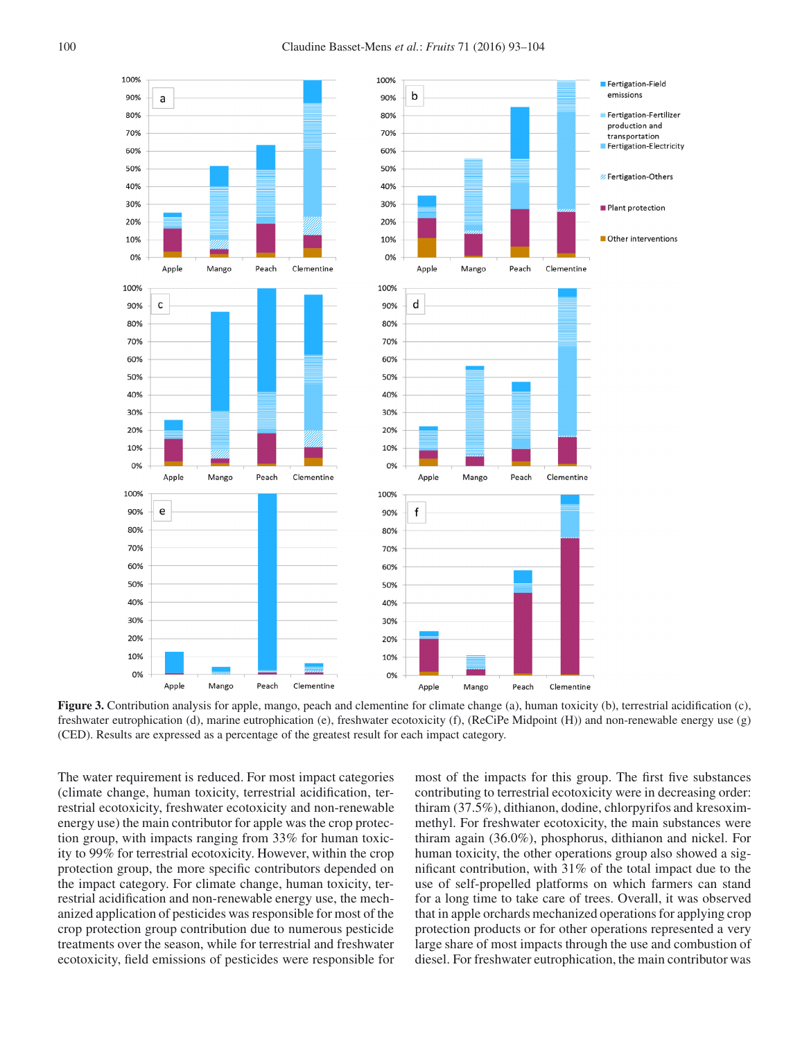

<span id="page-7-0"></span>**Figure 3.** Contribution analysis for apple, mango, peach and clementine for climate change (a), human toxicity (b), terrestrial acidification (c), freshwater eutrophication (d), marine eutrophication (e), freshwater ecotoxicity (f), (ReCiPe Midpoint (H)) and non-renewable energy use (g) (CED). Results are expressed as a percentage of the greatest result for each impact category.

The water requirement is reduced. For most impact categories (climate change, human toxicity, terrestrial acidification, terrestrial ecotoxicity, freshwater ecotoxicity and non-renewable energy use) the main contributor for apple was the crop protection group, with impacts ranging from 33% for human toxicity to 99% for terrestrial ecotoxicity. However, within the crop protection group, the more specific contributors depended on the impact category. For climate change, human toxicity, terrestrial acidification and non-renewable energy use, the mechanized application of pesticides was responsible for most of the crop protection group contribution due to numerous pesticide treatments over the season, while for terrestrial and freshwater ecotoxicity, field emissions of pesticides were responsible for most of the impacts for this group. The first five substances contributing to terrestrial ecotoxicity were in decreasing order: thiram (37.5%), dithianon, dodine, chlorpyrifos and kresoximmethyl. For freshwater ecotoxicity, the main substances were thiram again (36.0%), phosphorus, dithianon and nickel. For human toxicity, the other operations group also showed a significant contribution, with 31% of the total impact due to the use of self-propelled platforms on which farmers can stand for a long time to take care of trees. Overall, it was observed that in apple orchards mechanized operations for applying crop protection products or for other operations represented a very large share of most impacts through the use and combustion of diesel. For freshwater eutrophication, the main contributor was

Fertigation-Field emissions

transportation Fertigation-Electricity

**Eertigation-Others** 

Plant protection

Clementine

Clementine

Clementine

Other interventions

Fertigation-Fertilizer production and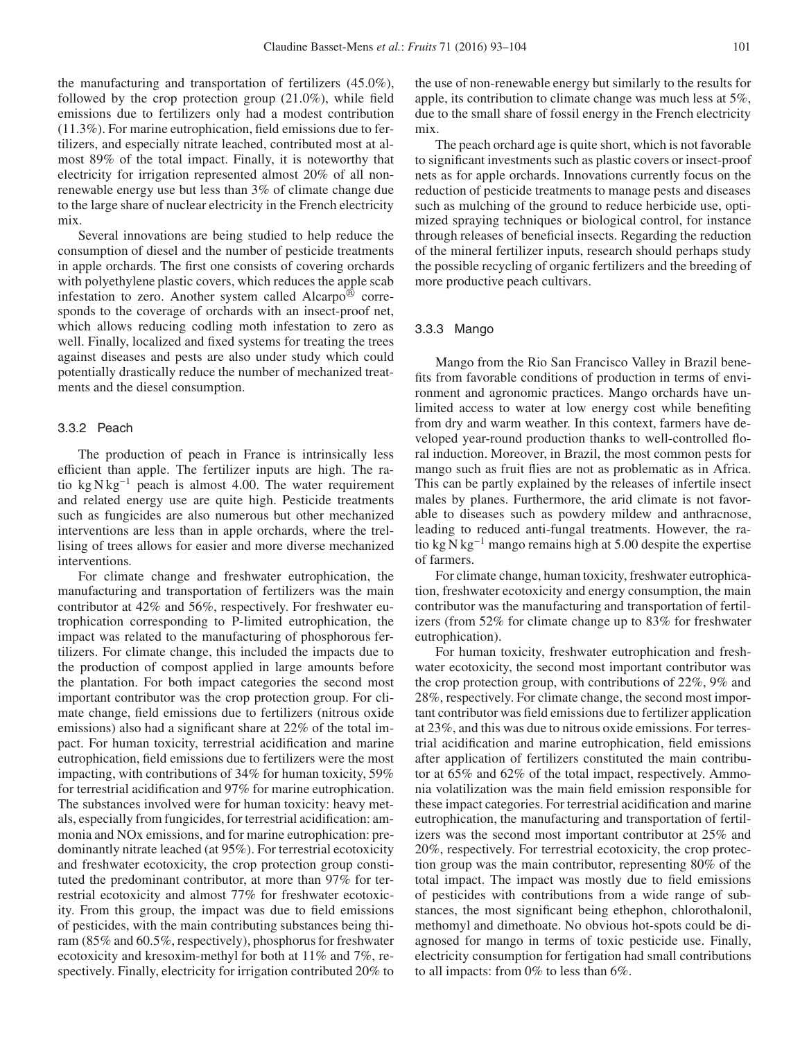the manufacturing and transportation of fertilizers (45.0%), followed by the crop protection group (21.0%), while field emissions due to fertilizers only had a modest contribution (11.3%). For marine eutrophication, field emissions due to fertilizers, and especially nitrate leached, contributed most at almost 89% of the total impact. Finally, it is noteworthy that electricity for irrigation represented almost 20% of all nonrenewable energy use but less than 3% of climate change due to the large share of nuclear electricity in the French electricity mix.

Several innovations are being studied to help reduce the consumption of diesel and the number of pesticide treatments in apple orchards. The first one consists of covering orchards with polyethylene plastic covers, which reduces the apple scab infestation to zero. Another system called Alcarpo $^{\circledR}$  corresponds to the coverage of orchards with an insect-proof net, which allows reducing codling moth infestation to zero as well. Finally, localized and fixed systems for treating the trees against diseases and pests are also under study which could potentially drastically reduce the number of mechanized treatments and the diesel consumption.

#### 3.3.2 Peach

The production of peach in France is intrinsically less efficient than apple. The fertilizer inputs are high. The ratio kg N kg−<sup>1</sup> peach is almost 4.00. The water requirement and related energy use are quite high. Pesticide treatments such as fungicides are also numerous but other mechanized interventions are less than in apple orchards, where the trellising of trees allows for easier and more diverse mechanized interventions.

For climate change and freshwater eutrophication, the manufacturing and transportation of fertilizers was the main contributor at 42% and 56%, respectively. For freshwater eutrophication corresponding to P-limited eutrophication, the impact was related to the manufacturing of phosphorous fertilizers. For climate change, this included the impacts due to the production of compost applied in large amounts before the plantation. For both impact categories the second most important contributor was the crop protection group. For climate change, field emissions due to fertilizers (nitrous oxide emissions) also had a significant share at 22% of the total impact. For human toxicity, terrestrial acidification and marine eutrophication, field emissions due to fertilizers were the most impacting, with contributions of 34% for human toxicity, 59% for terrestrial acidification and 97% for marine eutrophication. The substances involved were for human toxicity: heavy metals, especially from fungicides, for terrestrial acidification: ammonia and NOx emissions, and for marine eutrophication: predominantly nitrate leached (at 95%). For terrestrial ecotoxicity and freshwater ecotoxicity, the crop protection group constituted the predominant contributor, at more than 97% for terrestrial ecotoxicity and almost 77% for freshwater ecotoxicity. From this group, the impact was due to field emissions of pesticides, with the main contributing substances being thiram (85% and 60.5%, respectively), phosphorus for freshwater ecotoxicity and kresoxim-methyl for both at 11% and 7%, respectively. Finally, electricity for irrigation contributed 20% to

the use of non-renewable energy but similarly to the results for apple, its contribution to climate change was much less at 5%, due to the small share of fossil energy in the French electricity mix.

The peach orchard age is quite short, which is not favorable to significant investments such as plastic covers or insect-proof nets as for apple orchards. Innovations currently focus on the reduction of pesticide treatments to manage pests and diseases such as mulching of the ground to reduce herbicide use, optimized spraying techniques or biological control, for instance through releases of beneficial insects. Regarding the reduction of the mineral fertilizer inputs, research should perhaps study the possible recycling of organic fertilizers and the breeding of more productive peach cultivars.

# 3.3.3 Mango

Mango from the Rio San Francisco Valley in Brazil benefits from favorable conditions of production in terms of environment and agronomic practices. Mango orchards have unlimited access to water at low energy cost while benefiting from dry and warm weather. In this context, farmers have developed year-round production thanks to well-controlled floral induction. Moreover, in Brazil, the most common pests for mango such as fruit flies are not as problematic as in Africa. This can be partly explained by the releases of infertile insect males by planes. Furthermore, the arid climate is not favorable to diseases such as powdery mildew and anthracnose, leading to reduced anti-fungal treatments. However, the ratio kg N kg−<sup>1</sup> mango remains high at 5.00 despite the expertise of farmers.

For climate change, human toxicity, freshwater eutrophication, freshwater ecotoxicity and energy consumption, the main contributor was the manufacturing and transportation of fertilizers (from 52% for climate change up to 83% for freshwater eutrophication).

For human toxicity, freshwater eutrophication and freshwater ecotoxicity, the second most important contributor was the crop protection group, with contributions of 22%, 9% and 28%, respectively. For climate change, the second most important contributor was field emissions due to fertilizer application at 23%, and this was due to nitrous oxide emissions. For terrestrial acidification and marine eutrophication, field emissions after application of fertilizers constituted the main contributor at 65% and 62% of the total impact, respectively. Ammonia volatilization was the main field emission responsible for these impact categories. For terrestrial acidification and marine eutrophication, the manufacturing and transportation of fertilizers was the second most important contributor at 25% and 20%, respectively. For terrestrial ecotoxicity, the crop protection group was the main contributor, representing 80% of the total impact. The impact was mostly due to field emissions of pesticides with contributions from a wide range of substances, the most significant being ethephon, chlorothalonil, methomyl and dimethoate. No obvious hot-spots could be diagnosed for mango in terms of toxic pesticide use. Finally, electricity consumption for fertigation had small contributions to all impacts: from 0% to less than 6%.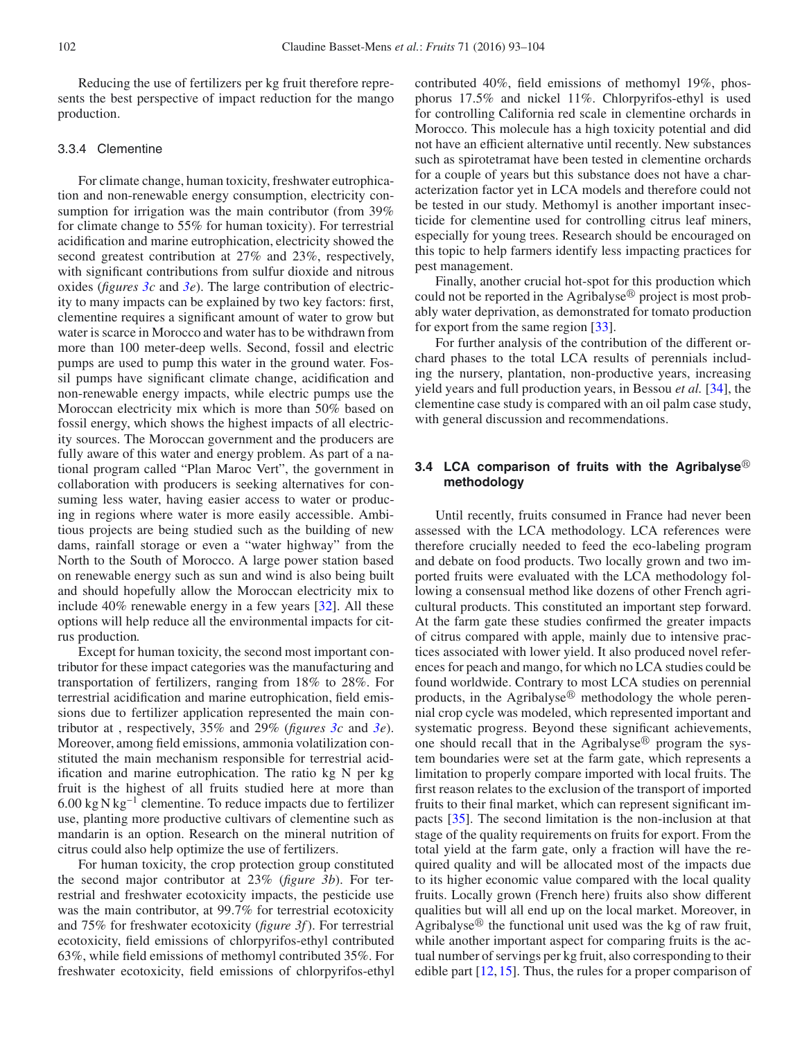Reducing the use of fertilizers per kg fruit therefore represents the best perspective of impact reduction for the mango production.

## 3.3.4 Clementine

For climate change, human toxicity, freshwater eutrophication and non-renewable energy consumption, electricity consumption for irrigation was the main contributor (from 39%) for climate change to 55% for human toxicity). For terrestrial acidification and marine eutrophication, electricity showed the second greatest contribution at 27% and 23%, respectively, with significant contributions from sulfur dioxide and nitrous oxides (*figures [3c](#page-7-0)* and *[3e](#page-7-0)*). The large contribution of electricity to many impacts can be explained by two key factors: first, clementine requires a significant amount of water to grow but water is scarce in Morocco and water has to be withdrawn from more than 100 meter-deep wells. Second, fossil and electric pumps are used to pump this water in the ground water. Fossil pumps have significant climate change, acidification and non-renewable energy impacts, while electric pumps use the Moroccan electricity mix which is more than 50% based on fossil energy, which shows the highest impacts of all electricity sources. The Moroccan government and the producers are fully aware of this water and energy problem. As part of a national program called "Plan Maroc Vert", the government in collaboration with producers is seeking alternatives for consuming less water, having easier access to water or producing in regions where water is more easily accessible. Ambitious projects are being studied such as the building of new dams, rainfall storage or even a "water highway" from the North to the South of Morocco. A large power station based on renewable energy such as sun and wind is also being built and should hopefully allow the Moroccan electricity mix to include 40% renewable energy in a few years [\[32\]](#page-11-24). All these options will help reduce all the environmental impacts for citrus production.

Except for human toxicity, the second most important contributor for these impact categories was the manufacturing and transportation of fertilizers, ranging from 18% to 28%. For terrestrial acidification and marine eutrophication, field emissions due to fertilizer application represented the main contributor at , respectively, 35% and 29% (*figures [3c](#page-7-0)* and *[3e](#page-7-0)*). Moreover, among field emissions, ammonia volatilization constituted the main mechanism responsible for terrestrial acidification and marine eutrophication. The ratio kg N per kg fruit is the highest of all fruits studied here at more than 6.00 kg N kg<sup>-1</sup> clementine. To reduce impacts due to fertilizer use, planting more productive cultivars of clementine such as mandarin is an option. Research on the mineral nutrition of citrus could also help optimize the use of fertilizers.

For human toxicity, the crop protection group constituted the second major contributor at 23% (*figure 3b*). For terrestrial and freshwater ecotoxicity impacts, the pesticide use was the main contributor, at 99.7% for terrestrial ecotoxicity and 75% for freshwater ecotoxicity (*figure 3f*). For terrestrial ecotoxicity, field emissions of chlorpyrifos-ethyl contributed 63%, while field emissions of methomyl contributed 35%. For freshwater ecotoxicity, field emissions of chlorpyrifos-ethyl contributed 40%, field emissions of methomyl 19%, phosphorus 17.5% and nickel 11%. Chlorpyrifos-ethyl is used for controlling California red scale in clementine orchards in Morocco. This molecule has a high toxicity potential and did not have an efficient alternative until recently. New substances such as spirotetramat have been tested in clementine orchards for a couple of years but this substance does not have a characterization factor yet in LCA models and therefore could not be tested in our study. Methomyl is another important insecticide for clementine used for controlling citrus leaf miners, especially for young trees. Research should be encouraged on this topic to help farmers identify less impacting practices for pest management.

Finally, another crucial hot-spot for this production which could not be reported in the Agribalyse $\mathbb{R}^p$  project is most probably water deprivation, as demonstrated for tomato production for export from the same region [\[33\]](#page-11-25).

For further analysis of the contribution of the different orchard phases to the total LCA results of perennials including the nursery, plantation, non-productive years, increasing yield years and full production years, in Bessou *et al.* [\[34\]](#page-11-26), the clementine case study is compared with an oil palm case study, with general discussion and recommendations.

# 3.4 LCA comparison of fruits with the Agribalyse<sup>®</sup> **methodology**

Until recently, fruits consumed in France had never been assessed with the LCA methodology. LCA references were therefore crucially needed to feed the eco-labeling program and debate on food products. Two locally grown and two imported fruits were evaluated with the LCA methodology following a consensual method like dozens of other French agricultural products. This constituted an important step forward. At the farm gate these studies confirmed the greater impacts of citrus compared with apple, mainly due to intensive practices associated with lower yield. It also produced novel references for peach and mango, for which no LCA studies could be found worldwide. Contrary to most LCA studies on perennial products, in the Agribalyse $\mathbb{B}$  methodology the whole perennial crop cycle was modeled, which represented important and systematic progress. Beyond these significant achievements, one should recall that in the Agribalyse $\mathbb{B}$  program the system boundaries were set at the farm gate, which represents a limitation to properly compare imported with local fruits. The first reason relates to the exclusion of the transport of imported fruits to their final market, which can represent significant impacts [\[35\]](#page-11-27). The second limitation is the non-inclusion at that stage of the quality requirements on fruits for export. From the total yield at the farm gate, only a fraction will have the required quality and will be allocated most of the impacts due to its higher economic value compared with the local quality fruits. Locally grown (French here) fruits also show different qualities but will all end up on the local market. Moreover, in Agribalyse $\mathbb{B}$  the functional unit used was the kg of raw fruit, while another important aspect for comparing fruits is the actual number of servings per kg fruit, also corresponding to their edible part [\[12,](#page-11-3) [15\]](#page-11-6). Thus, the rules for a proper comparison of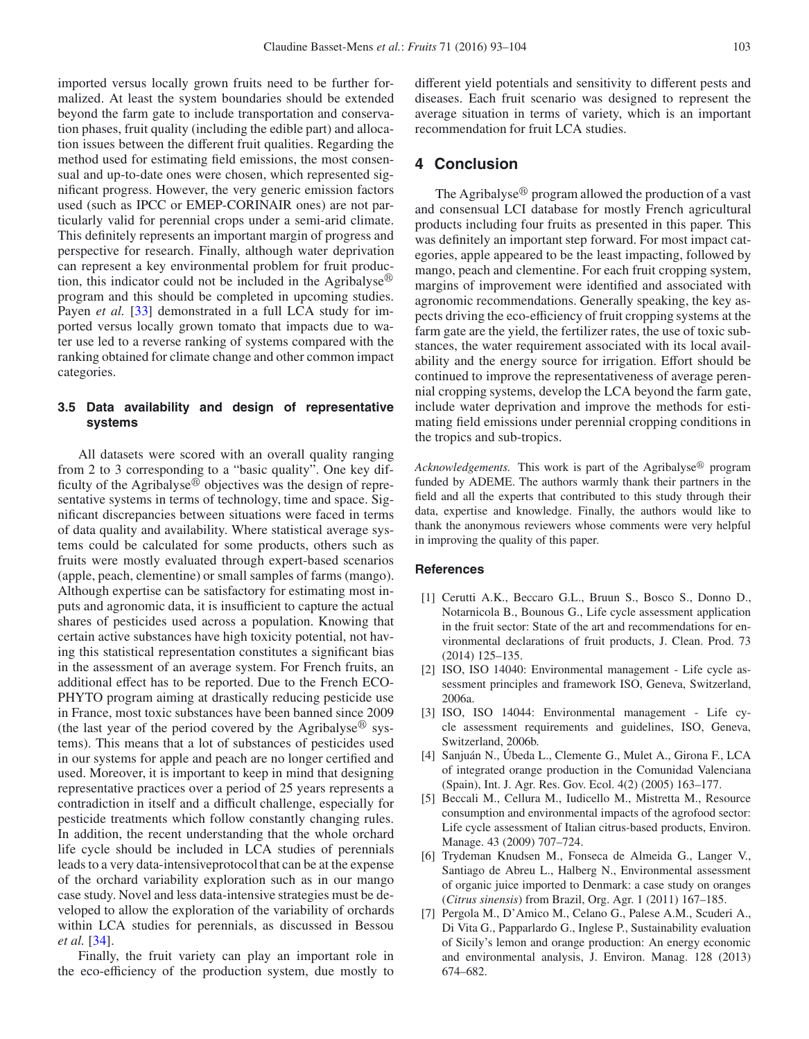imported versus locally grown fruits need to be further formalized. At least the system boundaries should be extended beyond the farm gate to include transportation and conservation phases, fruit quality (including the edible part) and allocation issues between the different fruit qualities. Regarding the method used for estimating field emissions, the most consensual and up-to-date ones were chosen, which represented significant progress. However, the very generic emission factors used (such as IPCC or EMEP-CORINAIR ones) are not particularly valid for perennial crops under a semi-arid climate. This definitely represents an important margin of progress and perspective for research. Finally, although water deprivation can represent a key environmental problem for fruit production, this indicator could not be included in the Agribalyse $\mathfrak{B}$ program and this should be completed in upcoming studies. Payen *et al.* [\[33](#page-11-25)] demonstrated in a full LCA study for imported versus locally grown tomato that impacts due to water use led to a reverse ranking of systems compared with the ranking obtained for climate change and other common impact categories.

# **3.5 Data availability and design of representative systems**

All datasets were scored with an overall quality ranging from 2 to 3 corresponding to a "basic quality". One key difficulty of the Agribalyse $\mathbb{R}^3$  objectives was the design of representative systems in terms of technology, time and space. Significant discrepancies between situations were faced in terms of data quality and availability. Where statistical average systems could be calculated for some products, others such as fruits were mostly evaluated through expert-based scenarios (apple, peach, clementine) or small samples of farms (mango). Although expertise can be satisfactory for estimating most inputs and agronomic data, it is insufficient to capture the actual shares of pesticides used across a population. Knowing that certain active substances have high toxicity potential, not having this statistical representation constitutes a significant bias in the assessment of an average system. For French fruits, an additional effect has to be reported. Due to the French ECO-PHYTO program aiming at drastically reducing pesticide use in France, most toxic substances have been banned since 2009 (the last year of the period covered by the Agribalyse<sup>®</sup> systems). This means that a lot of substances of pesticides used in our systems for apple and peach are no longer certified and used. Moreover, it is important to keep in mind that designing representative practices over a period of 25 years represents a contradiction in itself and a difficult challenge, especially for pesticide treatments which follow constantly changing rules. In addition, the recent understanding that the whole orchard life cycle should be included in LCA studies of perennials leads to a very data-intensiveprotocol that can be at the expense of the orchard variability exploration such as in our mango case study. Novel and less data-intensive strategies must be developed to allow the exploration of the variability of orchards within LCA studies for perennials, as discussed in Bessou *et al.* [\[34](#page-11-26)].

Finally, the fruit variety can play an important role in the eco-efficiency of the production system, due mostly to different yield potentials and sensitivity to different pests and diseases. Each fruit scenario was designed to represent the average situation in terms of variety, which is an important recommendation for fruit LCA studies.

# **4 Conclusion**

The Agribalyse $\mathcal{B}$  program allowed the production of a vast and consensual LCI database for mostly French agricultural products including four fruits as presented in this paper. This was definitely an important step forward. For most impact categories, apple appeared to be the least impacting, followed by mango, peach and clementine. For each fruit cropping system, margins of improvement were identified and associated with agronomic recommendations. Generally speaking, the key aspects driving the eco-efficiency of fruit cropping systems at the farm gate are the yield, the fertilizer rates, the use of toxic substances, the water requirement associated with its local availability and the energy source for irrigation. Effort should be continued to improve the representativeness of average perennial cropping systems, develop the LCA beyond the farm gate, include water deprivation and improve the methods for estimating field emissions under perennial cropping conditions in the tropics and sub-tropics.

Acknowledgements. This work is part of the Agribalyse<sup>®</sup> program funded by ADEME. The authors warmly thank their partners in the field and all the experts that contributed to this study through their data, expertise and knowledge. Finally, the authors would like to thank the anonymous reviewers whose comments were very helpful in improving the quality of this paper.

# <span id="page-10-0"></span>**References**

- [1] Cerutti A.K., Beccaro G.L., Bruun S., Bosco S., Donno D., Notarnicola B., Bounous G., Life cycle assessment application in the fruit sector: State of the art and recommendations for environmental declarations of fruit products, J. Clean. Prod. 73 (2014) 125–135.
- <span id="page-10-1"></span>[2] ISO, ISO 14040: Environmental management - Life cycle assessment principles and framework ISO, Geneva, Switzerland, 2006a.
- <span id="page-10-2"></span>[3] ISO, ISO 14044: Environmental management - Life cycle assessment requirements and guidelines, ISO, Geneva, Switzerland, 2006b.
- <span id="page-10-3"></span>[4] Sanjuán N., Úbeda L., Clemente G., Mulet A., Girona F., LCA of integrated orange production in the Comunidad Valenciana (Spain), Int. J. Agr. Res. Gov. Ecol. 4(2) (2005) 163–177.
- <span id="page-10-5"></span>[5] Beccali M., Cellura M., Iudicello M., Mistretta M., Resource consumption and environmental impacts of the agrofood sector: Life cycle assessment of Italian citrus-based products, Environ. Manage. 43 (2009) 707–724.
- <span id="page-10-6"></span>[6] Trydeman Knudsen M., Fonseca de Almeida G., Langer V., Santiago de Abreu L., Halberg N., Environmental assessment of organic juice imported to Denmark: a case study on oranges (*Citrus sinensis*) from Brazil, Org. Agr. 1 (2011) 167–185.
- <span id="page-10-4"></span>[7] Pergola M., D'Amico M., Celano G., Palese A.M., Scuderi A., Di Vita G., Papparlardo G., Inglese P., Sustainability evaluation of Sicily's lemon and orange production: An energy economic and environmental analysis, J. Environ. Manag. 128 (2013) 674–682.